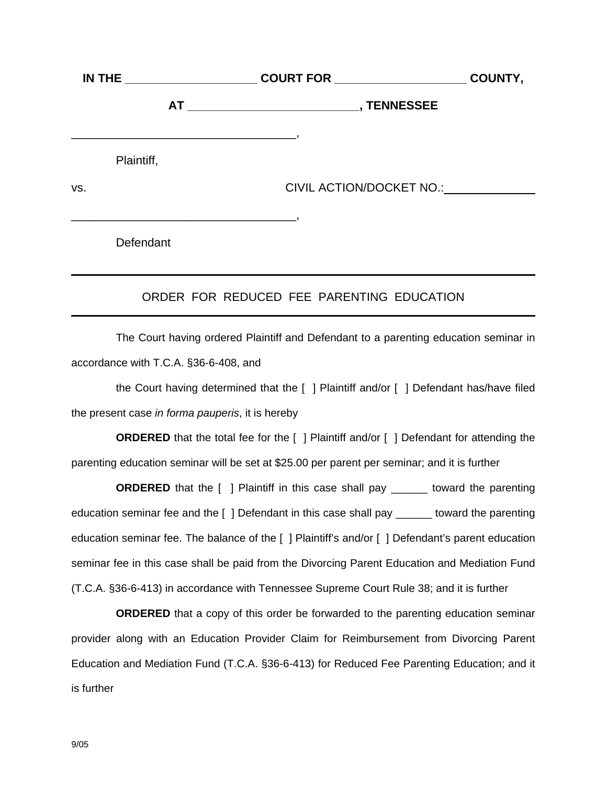|            |                                                                                                                                    |                          | COUNTY, |
|------------|------------------------------------------------------------------------------------------------------------------------------------|--------------------------|---------|
|            |                                                                                                                                    |                          |         |
| Plaintiff, | <u> 1989 - Jan James James James James James James James James James James James James James James James James J</u>               |                          |         |
| VS.        |                                                                                                                                    | CIVIL ACTION/DOCKET NO.: |         |
|            | <u> 1989 - Johann Stoff, deutscher Stoff, der Stoff, der Stoff, der Stoff, der Stoff, der Stoff, der Stoff, der S</u><br>Defendant |                          |         |

## ORDER FOR REDUCED FEE PARENTING EDUCATION

The Court having ordered Plaintiff and Defendant to a parenting education seminar in accordance with T.C.A. §36-6-408, and

the Court having determined that the [ ] Plaintiff and/or [ ] Defendant has/have filed the present case *in forma pauperis*, it is hereby

**ORDERED** that the total fee for the [ ] Plaintiff and/or [ ] Defendant for attending the parenting education seminar will be set at \$25.00 per parent per seminar; and it is further

**ORDERED** that the [ ] Plaintiff in this case shall pay \_\_\_\_\_\_ toward the parenting education seminar fee and the [ ] Defendant in this case shall pay \_\_\_\_\_\_ toward the parenting education seminar fee. The balance of the [ ] Plaintiff's and/or [ ] Defendant's parent education seminar fee in this case shall be paid from the Divorcing Parent Education and Mediation Fund (T.C.A. §36-6-413) in accordance with Tennessee Supreme Court Rule 38; and it is further

**ORDERED** that a copy of this order be forwarded to the parenting education seminar provider along with an Education Provider Claim for Reimbursement from Divorcing Parent Education and Mediation Fund (T.C.A. §36-6-413) for Reduced Fee Parenting Education; and it is further